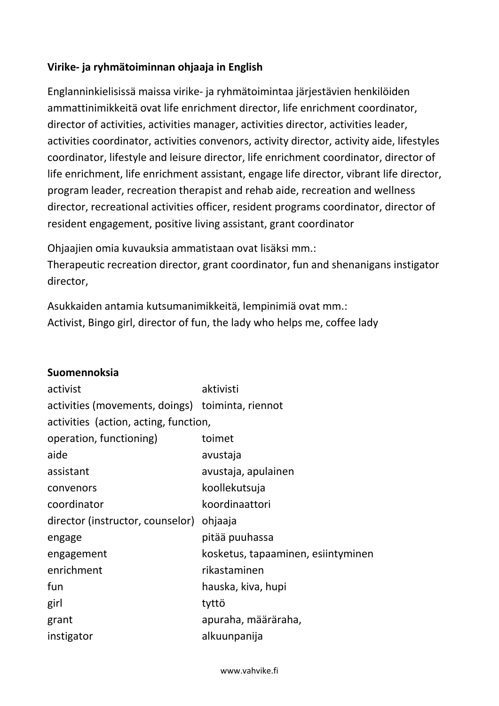## Virike- ja ryhmätoiminnan ohjaaja in English

Englanninkielisissä maissa virike- ja ryhmätoimintaa järjestävien henkilöiden ammattinimikkeitä ovat life enrichment director, life enrichment coordinator, director of activities, activities manager, activities director, activities leader, activities coordinator, activities convenors, activity director, activity aide, lifestyles coordinator, lifestyle and leisure director, life enrichment coordinator, director of life enrichment, life enrichment assistant, engage life director, vibrant life director, program leader, recreation therapist and rehab aide, recreation and wellness director, recreational activities officer, resident programs coordinator, director of resident engagement, positive living assistant, grant coordinator

Ohjaajien omia kuvauksia ammatistaan ovat lisäksi mm.: Therapeutic recreation director, grant coordinator, fun and shenanigans instigator director,

Asukkaiden antamia kutsumanimikkeitä, lempinimiä ovat mm.: Activist, Bingo girl, director of fun, the lady who helps me, coffee lady

## Suomennoksia

| activist                                         | aktivisti                          |
|--------------------------------------------------|------------------------------------|
| activities (movements, doings) toiminta, riennot |                                    |
| activities (action, acting, function,            |                                    |
| operation, functioning)                          | toimet                             |
| aide                                             | avustaja                           |
| assistant                                        | avustaja, apulainen                |
| convenors                                        | koollekutsuja                      |
| coordinator                                      | koordinaattori                     |
| director (instructor, counselor)                 | ohjaaja                            |
| engage                                           | pitää puuhassa                     |
| engagement                                       | kosketus, tapaaminen, esiintyminen |
| enrichment                                       | rikastaminen                       |
| fun                                              | hauska, kiva, hupi                 |
| girl                                             | tyttö                              |
| grant                                            | apuraha, määräraha,                |
| instigator                                       | alkuunpanija                       |